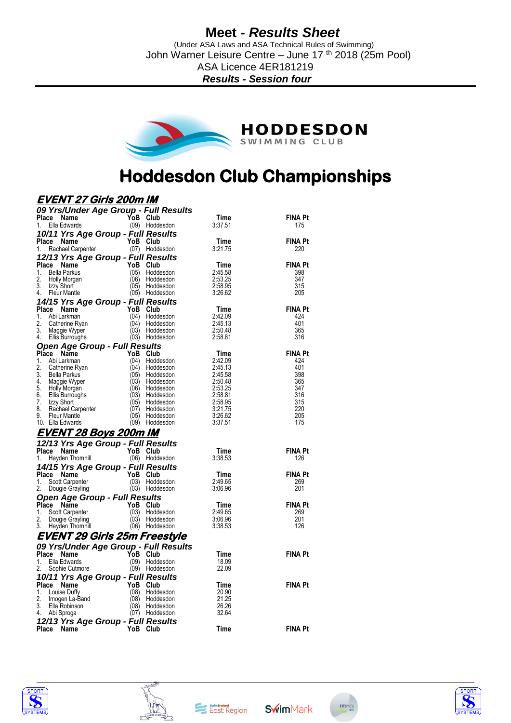(Under ASA Laws and ASA Technical Rules of Swimming) John Warner Leisure Centre – June 17<sup>th</sup> 2018 (25m Pool) ASA Licence 4ER181219 *Results - Session four*



# **Hoddesdon Club Championships**

### **EVENT 27 Girls 200m IM**

| Place                  | 09 Yrs/Under Age Group - Full Results        |              |                             |                    |                       |
|------------------------|----------------------------------------------|--------------|-----------------------------|--------------------|-----------------------|
|                        | Name                                         | YoB Club     |                             | Time               | <b>FINA Pt</b>        |
| 1.                     | Ella Edwards                                 |              | (09) Hoddesdon              | 3:37.51            | 175                   |
| Place                  | 10/11 Yrs Age Group - Full Results<br>Name   | YoB Club     |                             | Time               | <b>FINA Pt</b>        |
| 1.                     | Rachael Carpenter                            |              | (07) Hoddesdon              | 3:21.75            | 220                   |
|                        | 12/13 Yrs Age Group - Full Results           |              |                             |                    |                       |
| Place                  | Name                                         | YoB          | Club                        | Time               | <b>FINA Pt</b>        |
| 1.                     | <b>Bella Parkus</b>                          | (05)         | Hoddesdon                   | 2:45.58            | 398                   |
| 2.                     | Holly Morgan                                 | (06)         | Hoddesdon                   | 2:53.25            | 347                   |
| 3.<br>4.               | Izzy Short<br><b>Fleur Mantle</b>            | (05)         | Hoddesdon<br>(05) Hoddesdon | 2:58.95<br>3:26.62 | 315<br>205            |
|                        | 14/15 Yrs Age Group - Full Results           |              |                             |                    |                       |
| Place                  | Name                                         | YoB          | Club                        | Time               | <b>FINA Pt</b>        |
| 1.                     | Abi Larkman                                  | (04)         | Hoddesdon                   | 2:42.09            | 424                   |
| 2.                     | Catherine Ryan                               | (04)         | Hoddesdon                   | 2:45.13            | 401                   |
| 3.<br>4.               | Maggie Wyper<br>Ellis Burroughs              | (03)         | Hoddesdon<br>(03) Hoddesdon | 2:50.48<br>2:58.81 | 365<br>316            |
|                        |                                              |              |                             |                    |                       |
| Place                  | <b>Open Age Group - Full Results</b><br>Name | YoB          | Club                        | Time               | <b>FINA Pt</b>        |
| 1.                     | Abi Larkman                                  | (04)         | Hoddesdon                   | 2:42.09            | 424                   |
| 2.                     | Catherine Ryan                               | (04)         | Hoddesdon                   | 2:45.13            | 401                   |
| 3.<br>4                | <b>Bella Parkus</b>                          | (05)         | Hoddesdon                   | 2:45.58            | 398                   |
| 5.                     | Maggie Wyper<br>Holly Morgan                 | (03)<br>(06) | Hoddesdon<br>Hoddesdon      | 2:50.48<br>2:53.25 | 365<br>347            |
| 6.                     | Ellis Burroughs                              | (03)         | Hoddesdon                   | 2:58.81            | 316                   |
| 7.                     | Izzy Short                                   | (05)         | Hoddesdon                   | 2:58.95            | 315                   |
| 8.                     | Rachael Carpenter                            | (07)         | Hoddesdon                   | 3:21.75            | 220                   |
| 9.<br>10. Ella Edwards | <b>Fleur Mantle</b>                          | (05)<br>(09) | Hoddesdon<br>Hoddesdon      | 3:26.62<br>3:37.51 | 205<br>175            |
|                        |                                              |              |                             |                    |                       |
|                        | <u>EVENT 28 Boys 200m IM</u>                 |              |                             |                    |                       |
|                        | 12/13 Yrs Age Group - Full Results           | YoB Club     |                             |                    | <b>FINA Pt</b>        |
| Place<br>1.            | Name<br>Hayden Thomhill                      |              | (06) Hoddesdon              | Time<br>3:38.53    | 126                   |
|                        |                                              |              |                             |                    |                       |
|                        |                                              |              |                             |                    |                       |
|                        | 14/15 Yrs Age Group - Full Results           |              |                             |                    |                       |
| Place Name<br>1.       | Scott Carpenter                              | YoB<br>(03)  | Club<br>Hoddesdon           | Time<br>2:49.65    | <b>FINA Pt</b><br>269 |
| 2.                     | Dougie Grayling                              |              | (03) Hoddesdon              | 3:06.96            | 201                   |
|                        | Open Age Group - Full Results                |              |                             |                    |                       |
| Place                  | Name                                         | YoB          | Club                        | Time               | <b>FINA Pt</b>        |
| 1.                     | Scott Carpenter                              | (03)         | Hoddesdon                   | 2:49.65            | 269                   |
| 2.                     | Dougie Grayling                              | (03)         | Hoddesdon                   | 3:06.96            | 201                   |
| 3.                     | Hayden Thomhill                              |              | (06) Hoddesdon              | 3:38.53            | 126                   |
|                        | <u>EVENT 29 Girls 25m Freestyle</u>          |              |                             |                    |                       |
|                        | 09 Yrs/Under Age Group - Full Results        |              |                             |                    |                       |
| Place<br>1.            | Name<br>Ella Edwards                         | YoB<br>(09)  | Club                        | Time               | <b>FINA Pt</b>        |
| 2.                     | Sophie Cutmore                               |              | Hoddesdon<br>(09) Hoddesdon | 18.09<br>22.09     |                       |
|                        |                                              |              |                             |                    |                       |
| Place                  | 10/11 Yrs Age Group - Full Results<br>Name   | YoB          | Club                        | Time               | <b>FINA Pt</b>        |
| 1.                     | Louise Duffy                                 | (08)         | Hoddesdon                   | 20.90              |                       |
| 2.                     | Imogen La-Band                               | (08)         | Hoddesdon                   | 21.25              |                       |
| 3.<br>4.               | Ella Robinson<br>Abi Sproga                  | (08)<br>(07) | Hoddesdon<br>Hoddesdon      | 26.26<br>32.64     |                       |
|                        |                                              |              |                             |                    |                       |
| Place                  | 12/13 Yrs Age Group - Full Results<br>Name   | YoB Club     |                             | Time               | <b>FINA Pt</b>        |







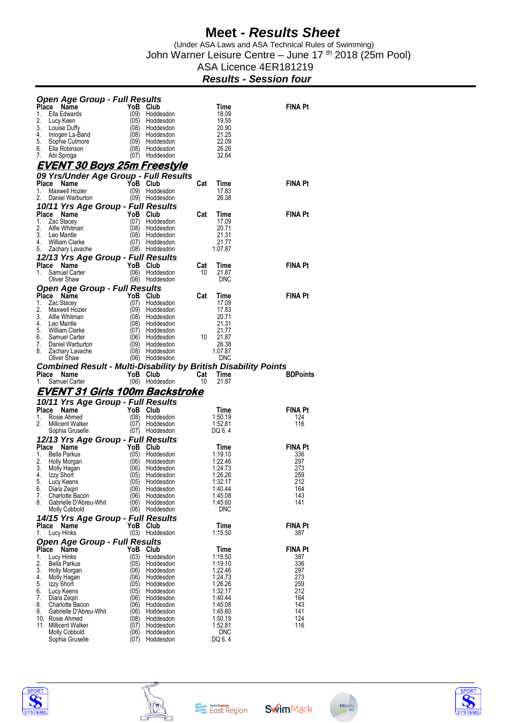(Under ASA Laws and ASA Technical Rules of Swimming) John Warner Leisure Centre – June 17 th 2018 (25m Pool)

### ASA Licence 4ER181219

#### *Results - Session four*

|             | <b>Open Age Group - Full Results</b>                                                  |                  |                             |           |                      |                 |
|-------------|---------------------------------------------------------------------------------------|------------------|-----------------------------|-----------|----------------------|-----------------|
| Place<br>1. | Name<br>Ella Edwards                                                                  | YoB Club<br>(09) | Hoddesdon                   |           | Time<br>18.09        | FINA Pt         |
| 2.          | Lucy Keen                                                                             | (05)             | Hoddesdon                   |           | 19.55                |                 |
| 3.          | Louise Duffy                                                                          | (08)             | Hoddesdon                   |           | 20.90                |                 |
| 4.<br>5.    | Imogen La-Band<br>Sophie Cutmore                                                      | (08)<br>(09)     | Hoddesdon<br>Hoddesdon      |           | 21.25<br>22.09       |                 |
| 6.          | Ella Robinson                                                                         | (08)             | Hoddesdon                   |           | 26.26                |                 |
| 7.          | Abi Sproga                                                                            | (07)             | Hoddesdon                   |           | 32.64                |                 |
|             | <u>EVENT 30 Boys 25m Freestyle</u>                                                    |                  |                             |           |                      |                 |
|             | 09 Yrs/Under Age Group - Full Results                                                 |                  |                             |           |                      |                 |
| Place<br>1. | Name                                                                                  | YoB<br>(09)      | Club                        | Cat       | Time<br>17.83        | <b>FINA Pt</b>  |
| 2.          | Maxwell Hozier<br>Daniel Warburton                                                    | (09)             | Hoddesdon<br>Hoddesdon      |           | 26.38                |                 |
|             | 10/11 Yrs Age Group - Full Results                                                    |                  |                             |           |                      |                 |
|             | Place Name                                                                            | YoB              | Club                        | Cat       | Time                 | <b>FINA Pt</b>  |
| 1.          | Zac Stacey                                                                            | (07)             | Hoddesdon                   |           | 17.09                |                 |
| 2.<br>3.    | Alfie Whitman<br>Leo Mantle                                                           | (08)<br>(08)     | Hoddesdon<br>Hoddesdon      |           | 20.71<br>21.31       |                 |
| 4.          | <b>William Clarke</b>                                                                 | (07)             | Hoddesdon                   |           | 21.77                |                 |
| 5.          | Zachary Lavache                                                                       |                  | (08) Hoddesdon              |           | 1:07.87              |                 |
|             | 12/13 Yrs Age Group - Full Results                                                    |                  |                             |           |                      |                 |
| 1.          | Place Name<br>Samuel Carter                                                           | YoB<br>(06)      | Club<br>Hoddesdon           | Cat<br>10 | Time<br>21.87        | <b>FINA Pt</b>  |
|             | Oliver Shaw                                                                           | (06)             | Hoddesdon                   |           | DNC                  |                 |
|             | <b>Open Age Group - Full Results</b>                                                  |                  |                             |           |                      |                 |
|             | Place Name                                                                            | YoB              | <b>Club</b>                 | Cat       | Time                 | <b>FINA Pt</b>  |
| 1.<br>2.    | Zac Stacey<br>Maxwell Hozier                                                          | (07)<br>(09)     | Hoddesdon<br>Hoddesdon      |           | 17.09<br>17.83       |                 |
| 3.          | Alfie Whitman                                                                         | (08)             | Hoddesdon                   |           | 20.71                |                 |
| 4.          | Leo Mantle                                                                            | (08)             | Hoddesdon                   |           | 21.31                |                 |
| 5.<br>6.    | William Clarke<br>Samuel Carter                                                       | (07)<br>(06)     | Hoddesdon<br>Hoddesdon      | 10        | 21.77<br>21.87       |                 |
| 7.          | Daniel Warburton                                                                      | (09)             | Hoddesdon                   |           | 26.38                |                 |
| 8.          | Zachary Lavache                                                                       | (08)             | Hoddesdon                   |           | 1:07.87              |                 |
|             | Oliver Shaw<br><b>Combined Result - Multi-Disability by British Disability Points</b> | (06)             | Hoddesdon                   |           | <b>DNC</b>           |                 |
|             |                                                                                       |                  |                             |           |                      |                 |
|             |                                                                                       |                  |                             |           |                      |                 |
| Place<br>1. | Name<br>Samuel Carter                                                                 | YoB Club         | (06) Hoddesdon              | Cat<br>10 | Time<br>21.87        | <b>BDPoints</b> |
|             | <u>EVENT 31 Girls 100m Backstroke</u>                                                 |                  |                             |           |                      |                 |
|             | 10/11 Yrs Age Group - Full Results                                                    |                  |                             |           |                      |                 |
| Place       | Name                                                                                  | YoB              | Club                        |           | Time                 | <b>FINA Pt</b>  |
| 1.          | Rosie Ahmed                                                                           | (08)             | Hoddesdon                   |           | 1:50.19              | 124             |
| 2.          | <b>Millicent Walker</b><br>Sophia Gruselle                                            | (07)             | Hoddesdon<br>(07) Hoddesdon |           | 1:52.81<br>DQ 6.4    | 116             |
|             | 12/13 Yrs Age Group - Full Results                                                    |                  |                             |           |                      |                 |
| Place       | Name                                                                                  | YoB              | Club                        |           | Time                 | <b>FINA Pt</b>  |
| 1.          | Bella Parkus                                                                          | (05)             | Hoddesdon                   |           | 1:19.10              | 336             |
| 2.<br>3.    | Holly Morgan<br>Molly Hagan                                                           | (06)<br>(06)     | Hoddesdon<br>Hoddesdon      |           | 1:22.46<br>1:24.73   | 297<br>273      |
| 4.          | Izzy Short                                                                            | (05)             | Hoddesdon                   |           | 1:26.26              | 259             |
| 5.          | Lucy Keens                                                                            | (05)             | Hoddesdon                   |           | 1:32.17              | 212             |
| 6.<br>7.    | Diara Zeqiri<br>Charlotte Bacon                                                       | (06)<br>(06)     | Hoddesdon<br>Hoddesdon      |           | 1:40.44<br>1:45.08   | 164<br>143      |
| 8.          | Gabrielle D'Abreu-Whit                                                                | (06)             | Hoddesdon                   |           | 1:45.60              | 141             |
|             | <b>Molly Cobbold</b>                                                                  | (06)             | Hoddesdon                   |           | DNC                  |                 |
|             | 14/15 Yrs Age Group - Full Results                                                    |                  |                             |           |                      |                 |
| 1.          | Place Name<br>Lucy Hinks                                                              | YoB<br>(03)      | Club<br>Hoddesdon           |           | Time<br>1:15.50      | FINA Pt<br>387  |
|             | <b>Open Age Group - Full Results</b>                                                  |                  |                             |           |                      |                 |
|             | Place<br>Name                                                                         | YoB              | Club                        |           | Time                 | FINA Pt         |
| 1.<br>2.    | Lucy Hinks                                                                            | (03)<br>(05)     | Hoddesdon<br>Hoddesdon      |           | 1:15.50              | 387<br>336      |
| 3.          | <b>Bella Parkus</b><br>Holly Morgan                                                   | (06)             | Hoddesdon                   |           | 1:19.10<br>1:22.46   | 297             |
| 4.          | Molly Hagan                                                                           | (06)             | Hoddesdon                   |           | 1:24.73              | 273             |
| 5.          | Izzy Short                                                                            | (05)             | Hoddesdon                   |           | 1:26.26              | 259             |
| 6.<br>7.    | Lucy Keens<br>Diara Zegiri                                                            | (05)<br>(06)     | Hoddesdon<br>Hoddesdon      |           | 1:32.17<br>1:40.44   | 212<br>164      |
| 8.          | Charlotte Bacon                                                                       | (06)             | Hoddesdon                   |           | 1:45.08              | 143             |
| 9.          | Gabrielle D'Abreu-Whit                                                                | (06)             | Hoddesdon                   |           | 1:45.60              | 141             |
|             | 10. Rosie Ahmed<br>11. Millicent Walker                                               | (08)<br>(07)     | Hoddesdon<br>Hoddesdon      |           | 1:50.19<br>1:52.81   | 124<br>116      |
|             | <b>Molly Cobbold</b><br>Sophia Gruselle                                               | (06)<br>(07)     | Hoddesdon<br>Hoddesdon      |           | <b>DNC</b><br>DQ 6.4 |                 |





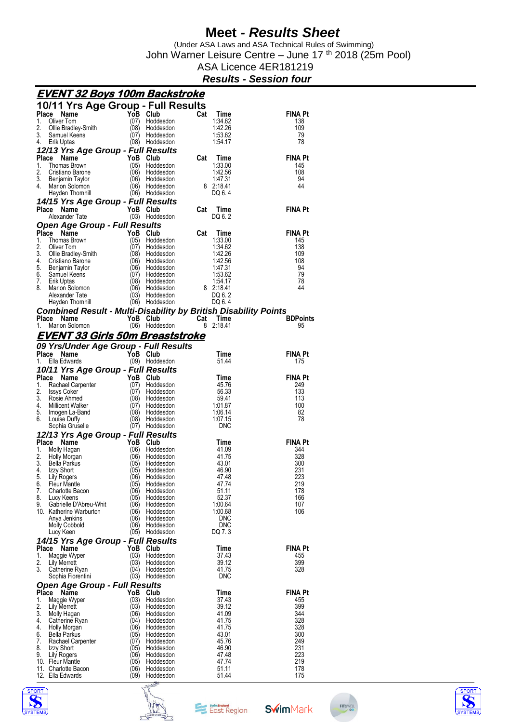(Under ASA Laws and ASA Technical Rules of Swimming) John Warner Leisure Centre – June 17 th 2018 (25m Pool)

### ASA Licence 4ER181219

#### *Results - Session four*

|              | <u>EVENT 32 Boys 100m Backstroke</u>                                   |              |                            |                        |                       |
|--------------|------------------------------------------------------------------------|--------------|----------------------------|------------------------|-----------------------|
|              | 10/11 Yrs Age Group - Full Results                                     |              |                            |                        |                       |
|              | Place<br>Name                                                          | YoB          | Club                       | Cat<br>Time            | <b>FINA Pt</b>        |
| 1.           | Oliver Tom                                                             | (07)         | Hoddesdon                  | 1:34.62                | 138                   |
| 2.<br>3.     | Ollie Bradley-Smith<br>Samuel Keens                                    | (08)<br>(07) | Hoddesdon<br>Hoddesdon     | 1:42.26<br>1:53.62     | 109<br>79             |
| 4.           | Erik Uptas                                                             | (08)         | Hoddesdon                  | 1:54.17                | 78                    |
|              | 12/13 Yrs Age Group - Full Results                                     |              |                            |                        |                       |
|              | Place<br>Name                                                          |              | YoB Club                   | Cat<br>Time            | <b>FINA Pt</b>        |
| 1.           | <b>Thomas Brown</b>                                                    | (05)         | Hoddesdon                  | 1:33.00                | 145                   |
| 2.<br>3.     | Cristiano Barone<br>Benjamin Taylor                                    | (06)<br>(06) | Hoddesdon<br>Hoddesdon     | 1:42.56<br>1:47.31     | 108<br>94             |
| 4.           | Marlon Solomon                                                         | (06)         | Hoddesdon                  | 8 2:18.41              | 44                    |
|              | Hayden Thomhill                                                        | (06)         | Hoddesdon                  | DQ 6.4                 |                       |
|              | 14/15 Yrs Age Group - Full Results                                     |              |                            |                        |                       |
|              | Place<br>Name                                                          |              | YoB Club                   | Cat<br>Time            | <b>FINA Pt</b>        |
|              | Alexander Tate                                                         |              | (03) Hoddesdon             | DQ 6.2                 |                       |
|              | <b>Open Age Group - Full Results</b>                                   |              |                            |                        |                       |
| Place<br>1.  | Name<br><b>Thomas Brown</b>                                            | YoB<br>(05)  | Club<br>Hoddesdon          | Cat<br>Time<br>1:33.00 | <b>FINA Pt</b><br>145 |
| 2.           | Oliver Tom                                                             | (07)         | Hoddesdon                  | 1:34.62                | 138                   |
| 3.           | Ollie Bradley-Smith                                                    | (08)         | Hoddesdon                  | 1:42.26                | 109                   |
| 4.           | Cristiano Barone                                                       | (06)         | Hoddesdon                  | 1:42.56                | 108                   |
| 5.<br>6.     | Benjamin Taylor                                                        | (06)<br>(07) | Hoddesdon<br>Hoddesdon     | 1:47.31<br>1:53.62     | 94<br>79              |
| 7.           | Samuel Keens<br>Erik Uptas                                             | (08)         | Hoddesdon                  | 1:54.17                | 78                    |
| 8.           | Marlon Solomon                                                         | (06)         | Hoddesdon                  | 8 2:18.41              | 44                    |
|              | Alexander Tate                                                         | (03)         | Hoddesdon                  | DQ 6.2                 |                       |
|              | Hayden Thomhill                                                        |              | (06) Hoddesdon             | DQ 6.4                 |                       |
|              | <b>Combined Result - Multi-Disability by British Disability Points</b> |              |                            |                        |                       |
| 1.           | Place Name<br>Marlon Solomon                                           |              | YoB Club<br>(06) Hoddesdon | Cat Time<br>8 2:18.41  | <b>BDPoints</b><br>95 |
|              |                                                                        |              |                            |                        |                       |
|              | EVENT 33 Girls 50m Breaststroke                                        |              |                            |                        |                       |
|              | 09 Yrs/Under Age Group - Full Results                                  |              |                            |                        |                       |
| 1.           | Place<br>Name<br>Ella Edwards                                          |              | YoB Club                   | Time<br>51.44          | <b>FINA Pt</b><br>175 |
|              |                                                                        |              | (09) Hoddesdon             |                        |                       |
| Place        | 10/11 Yrs Age Group - Full Results<br>Name                             | YoB          | Club                       | Time                   | <b>FINA Pt</b>        |
| 1.           | Rachael Carpenter                                                      | (07)         | Hoddesdon                  | 45.76                  | 249                   |
| 2.           | <b>Issys Coker</b>                                                     | (07)         | Hoddesdon                  | 56.33                  | 133                   |
| 3.           |                                                                        |              |                            |                        |                       |
|              | Rosie Ahmed                                                            | (08)         | Hoddesdon                  | 59.41                  | 113                   |
| 4.           | Millicent Walker                                                       | (07)         | Hoddesdon                  | 1:01.87                | 100                   |
| 5.<br>6.     | Imogen La-Band                                                         | (08)         | Hoddesdon<br>Hoddesdon     | 1:06.14<br>1:07.15     | 82<br>78              |
|              | Louise Duffy<br>Sophia Gruselle                                        | (08)         | (07) Hoddesdon             | <b>DNC</b>             |                       |
|              | 12/13 Yrs Age Group - Full Results                                     |              |                            |                        |                       |
|              | Place<br>Name                                                          |              | YoB Club                   | Time                   | <b>FINA Pt</b>        |
| 1.           | Molly Hagan                                                            | (06)         | Hoddesdon                  | 41.09                  | 344                   |
| 2.<br>3.     | Holly Morgan<br><b>Bella Parkus</b>                                    | (06)         | Hoddesdon                  | 41.75                  | 328<br>300            |
| 4.           | Izzy Short                                                             | (05)<br>(05) | Hoddesdon<br>Hoddesdon     | 43.01<br>46.90         | 231                   |
| 5.           | Lily Rogers                                                            | (06)         | Hoddesdon                  | 47.48                  | 223                   |
| 6.           | <b>Fleur Mantle</b>                                                    | (05)         | Hoddesdon                  | 47.74                  | 219                   |
| 7.           | Charlotte Bacon                                                        | (06)         | Hoddesdon                  | 51.11                  | 178                   |
| 8.<br>9.     | Lucy Keens<br>Gabrielle D'Abreu-Whit                                   | (05)<br>(06  | Hoddesdon<br>Hoddesdon     | 52.37<br>1:00.64       | 166<br>107            |
|              | 10. Katherine Warburton                                                | (06)         | Hoddesdon                  | 1:00.68                | 106                   |
|              | Anya Jenkins                                                           | (06)         | Hoddesdon                  | DNC                    |                       |
|              | Molly Cobbold                                                          | (06          | Hoddesdon                  | DNC                    |                       |
|              | Lucy Keen                                                              |              | (05) Hoddesdon             | DQ 7.3                 |                       |
| <b>Place</b> | 14/15 Yrs Age Group - Full Results                                     | YoB          | Club                       |                        |                       |
| 1.           | Name<br>Maggie Wyper                                                   | (03)         | Hoddesdon                  | Time<br>37.43          | <b>FINA Pt</b><br>455 |
| 2.           | Lily Merrett                                                           | (03)         | Hoddesdon                  | 39.12                  | 399                   |
| 3.           | Catherine Ryan                                                         | (04)         | Hoddesdon                  | 41.75                  | 328                   |
|              | Sophia Fiorentini                                                      | (03)         | Hoddesdon                  | <b>DNC</b>             |                       |
| Place        | <b>Open Age Group - Full Results</b><br>Name                           | YoB          | Club                       | Time                   | <b>FINA Pt</b>        |
| 1.           | Maggie Wyper                                                           | (03)         | Hoddesdon                  | 37.43                  | 455                   |
| 2.           | Lily Merrett                                                           | (03)         | Hoddesdon                  | 39.12                  | 399                   |
| 3.           | Molly Hagan                                                            | (06)         | Hoddesdon                  | 41.09                  | 344                   |
| 4.           | Catherine Ryan                                                         | (04          | Hoddesdon                  | 41.75                  | 328                   |
| 4.<br>6.     | <b>Holly Morgan</b><br>Bella Parkus                                    | (06)<br>05)  | Hoddesdon<br>Hoddesdon     | 41.75<br>43.01         | 328<br>300            |
| 7.           | Rachael Carpenter                                                      | (07          | Hoddesdon                  | 45.76                  | 249                   |
| 8.           | Izzy Short                                                             | (05)         | Hoddesdon                  | 46.90                  | 231                   |
| 9.           | Lily Rogers                                                            | (06)         | Hoddesdon                  | 47.48                  | 223                   |
|              | 10. Fleur Mantle<br>11. Charlotte Bacon                                | (05)<br>(06) | Hoddesdon<br>Hoddesdon     | 47.74<br>51.11         | 219<br>178            |







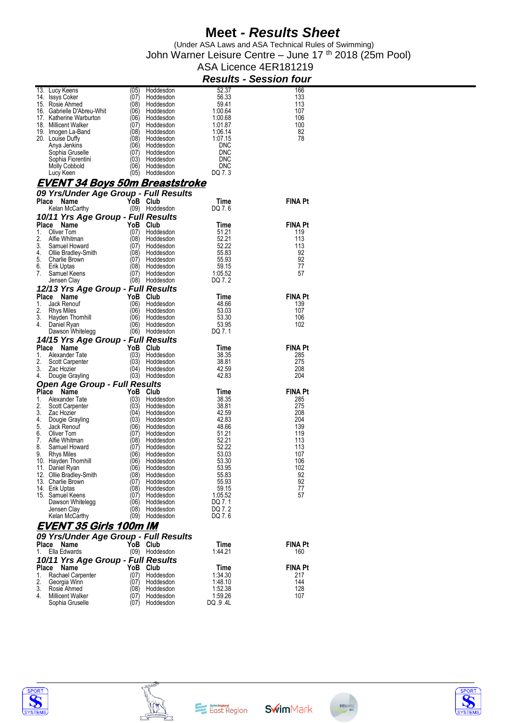(Under ASA Laws and ASA Technical Rules of Swimming) John Warner Leisure Centre – June 17 th 2018 (25m Pool)

#### ASA Licence 4ER181219 *Results - Session four*

|              | 13. Lucy Keens                             | (05)         | Hoddesdon              | 52.37              | 166            |
|--------------|--------------------------------------------|--------------|------------------------|--------------------|----------------|
|              | 14. Issys Coker                            | (07)         | Hoddesdon              | 56.33              | 133            |
|              | 15. Rosie Ahmed                            | (08)         | Hoddesdon              | 59.41              | 113            |
|              |                                            |              |                        |                    |                |
|              | 16. Gabrielle D'Abreu-Whit                 | (06)         | Hoddesdon              | 1:00.64            | 107            |
|              | 17. Katherine Warburton                    | (06)         | Hoddesdon              | 1:00.68            | 106            |
|              | 18. Millicent Walker                       | (07)         | Hoddesdon              | 1:01.87            | 100            |
|              |                                            | (08)         | Hoddesdon              | 1:06.14            | 82             |
|              | 19. Imogen La-Band                         |              |                        |                    |                |
|              | 20. Louise Dutty                           |              | (08) Hoddesdon         | 1:07.15            | 78             |
|              | Anya Jenkins                               | (06)         | Hoddesdon              | DNC                |                |
|              | Sophia Gruselle                            | (07)         | Hoddesdon              | DNC                |                |
|              | Sophia Fiorentini                          |              | (03) Hoddesdon         | DNC                |                |
|              |                                            |              |                        |                    |                |
|              | <b>Molly Cobbold</b>                       | (06)         | Hoddesdon              | DNC                |                |
|              | Lucy Keen                                  |              | (05) Hoddesdon         | DQ 7.3             |                |
|              |                                            |              |                        |                    |                |
|              | <u>EVENT 34 Boys 50m Breaststroke</u>      |              |                        |                    |                |
|              | 09 Yrs/Under Age Group - Full Results      |              |                        |                    |                |
|              | Place Name                                 |              | YoB Club               | Time               | <b>FINA Pt</b> |
|              | Kelan McCarthy                             |              | (09) Hoddesdon         | DQ 7.6             |                |
|              |                                            |              |                        |                    |                |
|              | 10/11 Yrs Age Group - Full Results         |              |                        |                    |                |
|              | Place Name                                 |              | YoB Club               | Time               | <b>FINA Pt</b> |
| 1.           | Oliver Tom                                 | (07)         | Hoddesdon              | 51.21              | 119            |
|              |                                            |              |                        |                    |                |
| 2.           | Alfie Whitman                              | (08)         | Hoddesdon              | 52.21              | 113            |
| 3.           | Samuel Howard                              | (07)         | Hoddesdon              | 52.22              | 113            |
| 4.           | Ollie Bradley-Smith                        |              | (08) Hoddesdon         | 55.83              | 92             |
| 5.           | Charlie Brown                              | (07)         | Hoddesdon              | 55.93              | 92             |
|              |                                            |              | (08) Hoddesdon         |                    | 77             |
| 6.           | Erik Uptas                                 |              |                        | 59.15              |                |
| 7.           | Samuel Keens                               |              | (07) Hoddesdon         | 1:05.52            | 57             |
|              | Jensen Clay                                |              | (08) Hoddesdon         | DQ 7.2             |                |
|              | 12/13 Yrs Age Group - Full Results         |              |                        |                    |                |
|              |                                            |              |                        |                    |                |
| <b>Place</b> | Name                                       |              | YoB Club               | Time               | <b>FINA Pt</b> |
| 1.           | Jack Renouf                                | (06)         | Hoddesdon              | 48.66              | 139            |
| 2.           | Rhys Miles                                 | (06)         | Hoddesdon              | 53.03              | 107            |
|              |                                            |              |                        |                    |                |
| 3.           | Hayden Thomhill                            | (06)         | Hoddesdon              | 53.30              | 106            |
| 4.           | Daniel Ryan                                |              | (06) Hoddesdon         | 53.95              | 102            |
|              | Dawson Whitelegg                           |              | (06) Hoddesdon         | DQ 7.1             |                |
|              |                                            |              |                        |                    |                |
|              | 14/15 Yrs Age Group - Full Results         |              |                        |                    |                |
|              | Place Name                                 |              | YoB Club               | Time               | <b>FINA Pt</b> |
|              |                                            |              |                        |                    |                |
|              |                                            |              |                        |                    |                |
| 1.           | Alexander Tate                             | (03)         | Hoddesdon              | 38.35              | 285            |
| 2.           | Scott Carpenter                            | (03)         | Hoddesdon              | 38.81              | 275            |
| 3.           | Zac Hozier                                 | (04)         | Hoddesdon              | 42.59              | 208            |
| 4.           | Dougie Grayling                            |              | (03) Hoddesdon         | 42.83              | 204            |
|              |                                            |              |                        |                    |                |
|              | <b>Open Age Group - Full Results</b>       |              |                        |                    |                |
|              | Place Name                                 |              | YoB Club               | Time               | <b>FINA Pt</b> |
| 1.           | Alexander Tate                             | (03)         | Hoddesdon              | 38.35              | 285            |
| 2.           | Scott Carpenter                            | (03)         | Hoddesdon              | 38.81              | 275            |
|              |                                            |              |                        |                    |                |
| 3.           | Zac Hozier                                 | (04)         | Hoddesdon              | 42.59              | 208            |
| 4.           | Dougie Grayling                            | (03)         | Hoddesdon              | 42.83              | 204            |
| 5.           | Jack Renouf                                | (06)         | Hoddesdon              | 48.66              | 139            |
| 6.           | Oliver Tom                                 | (07)         | Hoddesdon              | 51.21              | 119            |
| 7.           | Alfie Whitman                              | (08)         | Hoddesdon              | 52.21              | 113            |
|              |                                            |              |                        |                    |                |
| 8.           | Samuel Howard                              | (07)         | Hoddesdon              | 52.22              | 113            |
| 9.           | <b>Rhys Miles</b>                          | (06)         | Hoddesdon              | 53.03              | 107            |
|              | 10. Hayden Thomhill                        | (06)         | Hoddesdon              | 53.30              | 106            |
|              |                                            | (06)         | Hoddesdon              | 53.95              | 102            |
|              | 11. Daniel Ryan                            |              |                        |                    |                |
|              | 12. Ollie Bradley-Smith                    | (08)         | Hoddesdon              | 55.83              | 92             |
|              | 13. Charlie Brown                          | (07)         | Hoddesdon              | 55.93              | 92             |
|              | 14. Erik Uptas                             | (08)         | Hoddesdon              | 59.15              | 77             |
|              | 15. Samuel Keens                           | (07)         | Hoddesdon              | 1:05.52            | 57             |
|              |                                            | (06)         | Hoddesdon              | DQ 7.1             |                |
|              | Dawson Whitelegg                           |              |                        |                    |                |
|              | Jensen Clay                                | (08)         | Hoddesdon              | DQ 7.2             |                |
|              | Kelan McCarthy                             | (09)         | Hoddesdon              | DQ 7.6             |                |
|              | <b>EVENT 35 Girls 100m IM</b>              |              |                        |                    |                |
|              |                                            |              |                        |                    |                |
|              | 09 Yrs/Under Age Group - Full Results      |              |                        |                    |                |
|              | Place Name                                 |              | YoB Club               | Time               | <b>FINA Pt</b> |
| 1.           | Ella Edwards                               |              | (09) Hoddesdon         | 1:44.21            | 160            |
|              |                                            |              |                        |                    |                |
|              | 10/11 Yrs Age Group - Full Results         |              |                        |                    |                |
| <b>Place</b> | Name                                       |              | YoB Club               | Time               | <b>FINA Pt</b> |
| 1.           | Rachael Carpenter                          | (07)         | Hoddesdon              | 1:34.30            | 217            |
|              |                                            |              |                        |                    | 144            |
| 2.           | Georgia Winn                               | (07)         | Hoddesdon              | 1:48.10            |                |
| 3.           | Rosie Ahmed                                | (08)         | Hoddesdon              | 1:52.38            | 128            |
| 4.           | <b>Millicent Walker</b><br>Sophia Gruselle | (07)<br>(07) | Hoddesdon<br>Hoddesdon | 1:59.26<br>DQ 9.4L | 107            |









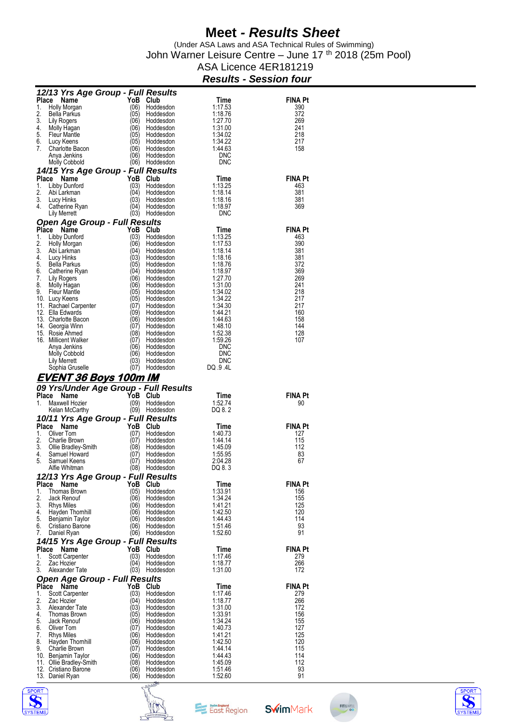(Under ASA Laws and ASA Technical Rules of Swimming) John Warner Leisure Centre – June 17<sup>th</sup> 2018 (25m Pool)

#### ASA Licence 4ER181219 *Results - Session four*

|             | 12/13 Yrs Age Group - Full Results              |              |                        |                    |                |
|-------------|-------------------------------------------------|--------------|------------------------|--------------------|----------------|
| Place       | Name                                            | YoB          | Club                   | Time               | <b>FINA Pt</b> |
| 1.          | Holly Morgan                                    | (06)         | Hoddesdon              | 1:17.53            | 390            |
| 2.          | Bella Parkus                                    | (05)         | Hoddesdon              | 1:18.76            | 372            |
| 3.<br>4.    | Lily Rogers<br>Molly Hagan                      | (06)<br>(06) | Hoddesdon<br>Hoddesdon | 1:27.70<br>1:31.00 | 269<br>241     |
| 5.          | <b>Fleur Mantle</b>                             | (05)         | Hoddesdon              | 1:34.02            | 218            |
| 6.          | Lucy Keens                                      | (05)         | Hoddesdon              | 1:34.22            | 217            |
| 7.          | Charlotte Bacon                                 | (06)         | Hoddesdon              | 1:44.63            | 158            |
|             | Anya Jenkins<br>Molly Cobbold                   | (06)<br>(06) | Hoddesdon<br>Hoddesdon | <b>DNC</b><br>DNC  |                |
|             | 14/15 Yrs Age Group - Full Results              |              |                        |                    |                |
| Place       | Name                                            | YoB          | Club                   | Time               | <b>FINA Pt</b> |
| 1.          | Libby Dunford                                   | (03)         | Hoddesdon              | 1:13.25            | 463            |
| 2.          | Abi Larkman                                     | (04)         | Hoddesdon              | 1:18.14            | 381            |
| 3.          | Lucy Hinks                                      | (03)         | Hoddesdon              | 1:18.16            | 381            |
| 4.          | Catherine Ryan<br>Lily Merrett                  | (04)<br>(03) | Hoddesdon<br>Hoddesdon | 1:18.97<br>DNC     | 369            |
|             | Open Age Group - Full Results                   |              |                        |                    |                |
| Place       | Name                                            | YoB          | Club                   | Time               | <b>FINA Pt</b> |
| 1.          | Libby Dunford                                   | (03)         | Hoddesdon              | 1:13.25            | 463            |
| 2.          | Holly Morgan                                    | (06)         | Hoddesdon              | 1:17.53            | 390            |
| 3.<br>4.    | Abi Larkman                                     | (04)<br>(03) | Hoddesdon<br>Hoddesdon | 1:18.14<br>1:18.16 | 381<br>381     |
| 5.          | Lucy Hinks<br><b>Bella Parkus</b>               | (05)         | Hoddesdon              | 1:18.76            | 372            |
| 6.          | Catherine Ryan                                  | (04)         | Hoddesdon              | 1:18.97            | 369            |
| 7.          | Lily Rogers                                     | (06)         | Hoddesdon              | 1:27.70            | 269            |
| 8.          | Molly Hagan                                     | (06)         | Hoddesdon              | 1:31.00            | 241            |
| 9.          | <b>Fleur Mantle</b>                             | (05)<br>(05) | Hoddesdon<br>Hoddesdon | 1:34.02<br>1:34.22 | 218<br>217     |
|             | 10. Lucy Keens<br>11. Rachael Carpenter         | (07)         | Hoddesdon              | 1:34.30            | 217            |
|             | 12. Ella Edwards                                | (09)         | Hoddesdon              | 1:44.21            | 160            |
|             | 13. Charlotte Bacon                             | (06)         | Hoddesdon              | 1:44.63            | 158            |
|             | 14. Georgia Winn                                | (07)         | Hoddesdon              | 1:48.10            | 144            |
|             | 15. Rosie Ahmed<br>16. Millicent Walker         | (08)<br>(07) | Hoddesdon<br>Hoddesdon | 1:52.38<br>1:59.26 | 128<br>107     |
|             | Anya Jenkins                                    | (06)         | Hoddesdon              | <b>DNC</b>         |                |
|             | Molly Cobbold                                   | (06)         | Hoddesdon              | <b>DNC</b>         |                |
|             | Lily Merrett                                    | (03)         | Hoddesdon              | <b>DNC</b>         |                |
|             | Sophia Gruselle                                 | (07)         | Hoddesdon              | DQ 9.4L            |                |
|             |                                                 |              |                        |                    |                |
|             | <u>EVENT 36 Boys 100m IM</u>                    |              |                        |                    |                |
|             | 09 Yrs/Under Age Group - Full Results           |              |                        |                    |                |
| Place       | Name                                            | YoB          | Club                   | Time               | <b>FINA Pt</b> |
| 1.          | Maxwell Hozier                                  | (09)         | Hoddesdon              | 1:52.74            | 90             |
|             | Kelan McCarthy                                  |              | (09) Hoddesdon         | DQ 8.2             |                |
|             | 10/11 Yrs Age Group - Full Results              |              |                        |                    | <b>FINA Pt</b> |
| Place<br>1. | Name<br>Oliver Tom                              | YoB<br>(07)  | Club<br>Hoddesdon      | Time<br>1:40.73    | 127            |
| 2.          | Charlie Brown                                   | (07)         | Hoddesdon              | 1:44.14            | 115            |
| 3.          | Ollie Bradley-Smith                             | (08)         | Hoddesdon              | 1:45.09            | 112            |
| 4.          | Samuel Howard                                   | (07)         | Hoddesdon              | 1:55.95            | 83             |
| 5.          | Samuel Keens                                    | (07)         | Hoddesdon              | 2:04.28            | 67             |
|             | Alfie Whitman                                   | (08)         | Hoddesdon              | DQ 8.3             |                |
| Place       | 12/13 Yrs Age Group - Full Results<br>Name      | YoB          | Club                   | Time               | <b>FINA Pt</b> |
| 1.          | <b>Thomas Brown</b>                             | (05)         | Hoddesdon              | 1:33.91            | 156            |
| 2.          | Jack Renouf                                     | (06)         | Hoddesdon              | 1:34.24            | 155            |
| 3.          | Rhys Miles                                      | (06)         | Hoddesdon              | 1:41 21            | 125            |
| 4.<br>5.    | Hayden Thomhill<br>Benjamin Taylor              | (06)<br>(06) | Hoddesdon<br>Hoddesdon | 1:42.50<br>1:44.43 | 120<br>114     |
| 6.          | Cristiano Barone                                | (06)         | Hoddesdon              | 1:51.46            | 93             |
| 7.          | Daniel Ryan                                     | (06)         | Hoddesdon              | 1:52.60            | 91             |
|             | 14/15 Yrs Age Group - Full Results              |              |                        |                    |                |
| Place       | Name                                            | YoB          | Club                   | Time               | <b>FINA Pt</b> |
| 1.<br>2.    | Scott Carpenter<br>Zac Hozier                   | (03)<br>(04) | Hoddesdon<br>Hoddesdon | 1:17.46<br>1:18.77 | 279<br>266     |
| 3.          | Alexander Tate                                  | (03)         | Hoddesdon              | 1:31.00            | 172            |
|             | <b>Open Age Group - Full Results</b>            |              |                        |                    |                |
| Place       | Name                                            | YoB          | Club                   | Time               | <b>FINA Pt</b> |
| 1.          | <b>Scott Carpenter</b>                          | (03)         | Hoddesdon              | 1:17.46            | 279            |
| 2.<br>3.    | Zac Hozier<br>Alexander Tate                    | (04)         | Hoddesdon              | 1:18.77            | 266<br>172     |
| 4.          | Thomas Brown                                    | (03)<br>(05) | Hoddesdon<br>Hoddesdon | 1:31.00<br>1:33.91 | 156            |
| 5.          | Jack Renouf                                     | (06)         | Hoddesdon              | 1:34.24            | 155            |
| 6.          | Oliver Tom                                      | (07)         | Hoddesdon              | 1:40.73            | 127            |
| 7.          | <b>Rhys Miles</b>                               | (06)         | Hoddesdon              | 1:41 21            | 125            |
| 8.<br>9.    | Hayden Thomhill<br>Charlie Brown                | (06)<br>(07) | Hoddesdon<br>Hoddesdon | 1:42.50<br>1:44.14 | 120<br>115     |
|             | 10. Benjamin Taylor                             | (06)         | Hoddesdon              | 1:44.43            | 114            |
|             | 11. Ollie Bradley-Smith<br>12. Cristiano Barone | (08)<br>(06) | Hoddesdon<br>Hoddesdon | 1:45.09<br>1:51.46 | 112<br>93      |